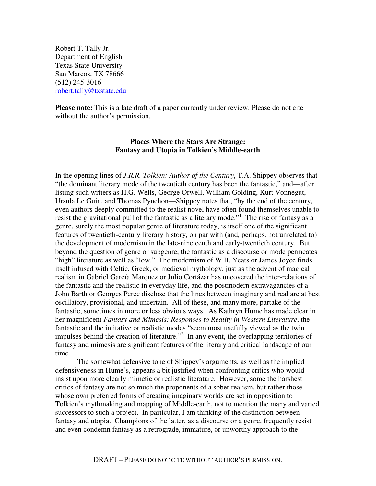Robert T. Tally Jr. Department of English Texas State University San Marcos, TX 78666 (512) 245-3016 robert.tally@txstate.edu

**Please note:** This is a late draft of a paper currently under review. Please do not cite without the author's permission.

# **Places Where the Stars Are Strange: Fantasy and Utopia in Tolkien's Middle-earth**

In the opening lines of *J.R.R. Tolkien: Author of the Century*, T.A. Shippey observes that "the dominant literary mode of the twentieth century has been the fantastic," and—after listing such writers as H.G. Wells, George Orwell, William Golding, Kurt Vonnegut, Ursula Le Guin, and Thomas Pynchon—Shippey notes that, "by the end of the century, even authors deeply committed to the realist novel have often found themselves unable to resist the gravitational pull of the fantastic as a literary mode."<sup>1</sup> The rise of fantasy as a genre, surely the most popular genre of literature today, is itself one of the significant features of twentieth-century literary history, on par with (and, perhaps, not unrelated to) the development of modernism in the late-nineteenth and early-twentieth century. But beyond the question of genre or subgenre, the fantastic as a discourse or mode permeates "high" literature as well as "low." The modernism of W.B. Yeats or James Joyce finds itself infused with Celtic, Greek, or medieval mythology, just as the advent of magical realism in Gabriel García Marquez or Julio Cortázar has uncovered the inter-relations of the fantastic and the realistic in everyday life, and the postmodern extravagancies of a John Barth or Georges Perec disclose that the lines between imaginary and real are at best oscillatory, provisional, and uncertain. All of these, and many more, partake of the fantastic, sometimes in more or less obvious ways. As Kathryn Hume has made clear in her magnificent *Fantasy and Mimesis: Responses to Reality in Western Literature*, the fantastic and the imitative or realistic modes "seem most usefully viewed as the twin impulses behind the creation of literature."<sup>2</sup> In any event, the overlapping territories of fantasy and mimesis are significant features of the literary and critical landscape of our time.

 The somewhat defensive tone of Shippey's arguments, as well as the implied defensiveness in Hume's, appears a bit justified when confronting critics who would insist upon more clearly mimetic or realistic literature. However, some the harshest critics of fantasy are not so much the proponents of a sober realism, but rather those whose own preferred forms of creating imaginary worlds are set in opposition to Tolkien's mythmaking and mapping of Middle-earth, not to mention the many and varied successors to such a project. In particular, I am thinking of the distinction between fantasy and utopia. Champions of the latter, as a discourse or a genre, frequently resist and even condemn fantasy as a retrograde, immature, or unworthy approach to the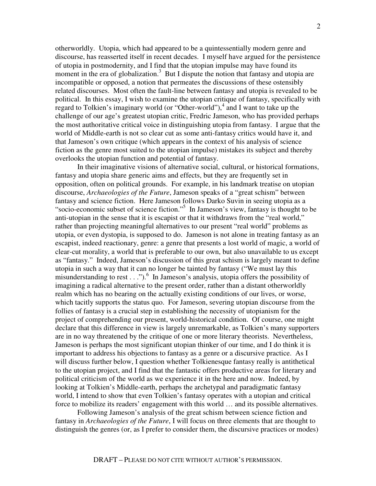otherworldly. Utopia, which had appeared to be a quintessentially modern genre and discourse, has reasserted itself in recent decades. I myself have argued for the persistence of utopia in postmodernity, and I find that the utopian impulse may have found its moment in the era of globalization.<sup>3</sup> But I dispute the notion that fantasy and utopia are incompatible or opposed, a notion that permeates the discussions of these ostensibly related discourses. Most often the fault-line between fantasy and utopia is revealed to be political. In this essay, I wish to examine the utopian critique of fantasy, specifically with regard to Tolkien's imaginary world (or "Other-world"),<sup>4</sup> and I want to take up the challenge of our age's greatest utopian critic, Fredric Jameson, who has provided perhaps the most authoritative critical voice in distinguishing utopia from fantasy. I argue that the world of Middle-earth is not so clear cut as some anti-fantasy critics would have it, and that Jameson's own critique (which appears in the context of his analysis of science fiction as the genre most suited to the utopian impulse) mistakes its subject and thereby overlooks the utopian function and potential of fantasy.

 In their imaginative visions of alternative social, cultural, or historical formations, fantasy and utopia share generic aims and effects, but they are frequently set in opposition, often on political grounds. For example, in his landmark treatise on utopian discourse, *Archaeologies of the Future*, Jameson speaks of a "great schism" between fantasy and science fiction. Here Jameson follows Darko Suvin in seeing utopia as a "socio-economic subset of science fiction."<sup>5</sup> In Jameson's view, fantasy is thought to be anti-utopian in the sense that it is escapist or that it withdraws from the "real world," rather than projecting meaningful alternatives to our present "real world" problems as utopia, or even dystopia, is supposed to do. Jameson is not alone in treating fantasy as an escapist, indeed reactionary, genre: a genre that presents a lost world of magic, a world of clear-cut morality, a world that is preferable to our own, but also unavailable to us except as "fantasy." Indeed, Jameson's discussion of this great schism is largely meant to define utopia in such a way that it can no longer be tainted by fantasy ("We must lay this misunderstanding to rest . . .").<sup>6</sup> In Jameson's analysis, utopia offers the possibility of imagining a radical alternative to the present order, rather than a distant otherworldly realm which has no bearing on the actually existing conditions of our lives, or worse, which tacitly supports the status quo. For Jameson, severing utopian discourse from the follies of fantasy is a crucial step in establishing the necessity of utopianism for the project of comprehending our present, world-historical condition. Of course, one might declare that this difference in view is largely unremarkable, as Tolkien's many supporters are in no way threatened by the critique of one or more literary theorists. Nevertheless, Jameson is perhaps the most significant utopian thinker of our time, and I do think it is important to address his objections to fantasy as a genre or a discursive practice. As I will discuss further below, I question whether Tolkienesque fantasy really is antithetical to the utopian project, and I find that the fantastic offers productive areas for literary and political criticism of the world as we experience it in the here and now. Indeed, by looking at Tolkien's Middle-earth, perhaps the archetypal and paradigmatic fantasy world, I intend to show that even Tolkien's fantasy operates with a utopian and critical force to mobilize its readers' engagement with this world ... and its possible alternatives.

 Following Jameson's analysis of the great schism between science fiction and fantasy in *Archaeologies of the Future*, I will focus on three elements that are thought to distinguish the genres (or, as I prefer to consider them, the discursive practices or modes)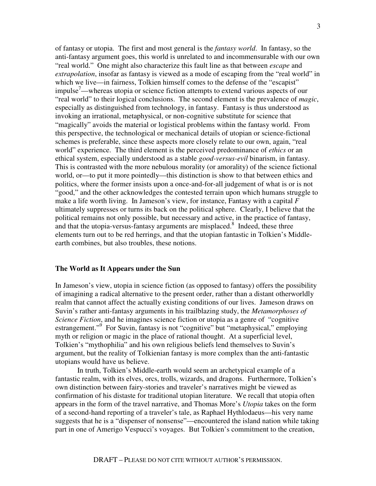of fantasy or utopia. The first and most general is the *fantasy world*. In fantasy, so the anti-fantasy argument goes, this world is unrelated to and incommensurable with our own "real world." One might also characterize this fault line as that between *escape* and *extrapolation*, insofar as fantasy is viewed as a mode of escaping from the "real world" in which we live—in fairness, Tolkien himself comes to the defense of the "escapist" impulse<sup>7</sup>—whereas utopia or science fiction attempts to extend various aspects of our "real world" to their logical conclusions. The second element is the prevalence of *magic*, especially as distinguished from technology, in fantasy. Fantasy is thus understood as invoking an irrational, metaphysical, or non-cognitive substitute for science that "magically" avoids the material or logistical problems within the fantasy world. From this perspective, the technological or mechanical details of utopian or science-fictional schemes is preferable, since these aspects more closely relate to our own, again, "real world" experience. The third element is the perceived predominance of *ethics* or an ethical system, especially understood as a stable *good-versus-evil* binarism, in fantasy. This is contrasted with the more nebulous morality (or amorality) of the science fictional world, or—to put it more pointedly—this distinction is show to that between ethics and politics, where the former insists upon a once-and-for-all judgement of what is or is not "good," and the other acknowledges the contested terrain upon which humans struggle to make a life worth living. In Jameson's view, for instance, Fantasy with a capital *F* ultimately suppresses or turns its back on the political sphere. Clearly, I believe that the political remains not only possible, but necessary and active, in the practice of fantasy, and that the utopia-versus-fantasy arguments are misplaced. $8$  Indeed, these three elements turn out to be red herrings, and that the utopian fantastic in Tolkien's Middleearth combines, but also troubles, these notions.

### **The World as It Appears under the Sun**

In Jameson's view, utopia in science fiction (as opposed to fantasy) offers the possibility of imagining a radical alternative to the present order, rather than a distant otherworldly realm that cannot affect the actually existing conditions of our lives. Jameson draws on Suvin's rather anti-fantasy arguments in his trailblazing study, the *Metamorphoses of Science Fiction*, and he imagines science fiction or utopia as a genre of "cognitive" estrangement."<sup>9</sup> For Suvin, fantasy is not "cognitive" but "metaphysical," employing myth or religion or magic in the place of rational thought. At a superficial level, Tolkien's "mythophilia" and his own religious beliefs lend themselves to Suvin's argument, but the reality of Tolkienian fantasy is more complex than the anti-fantastic utopians would have us believe.

 In truth, Tolkien's Middle-earth would seem an archetypical example of a fantastic realm, with its elves, orcs, trolls, wizards, and dragons. Furthermore, Tolkien's own distinction between fairy-stories and traveler's narratives might be viewed as confirmation of his distaste for traditional utopian literature. We recall that utopia often appears in the form of the travel narrative, and Thomas More's *Utopia* takes on the form of a second-hand reporting of a traveler's tale, as Raphael Hythlodaeus—his very name suggests that he is a "dispenser of nonsense"—encountered the island nation while taking part in one of Amerigo Vespucci's voyages. But Tolkien's commitment to the creation,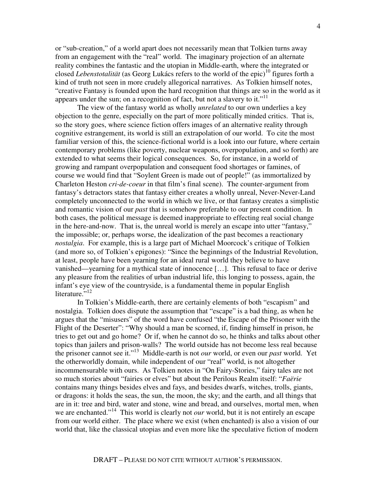or "sub-creation," of a world apart does not necessarily mean that Tolkien turns away from an engagement with the "real" world. The imaginary projection of an alternate reality combines the fantastic and the utopian in Middle-earth, where the integrated or closed *Lebenstotalität* (as Georg Lukács refers to the world of the epic)<sup>10</sup> figures forth a kind of truth not seen in more crudely allegorical narratives. As Tolkien himself notes, "creative Fantasy is founded upon the hard recognition that things are so in the world as it appears under the sun; on a recognition of fact, but not a slavery to it."<sup>11</sup>

 The view of the fantasy world as wholly *unrelated* to our own underlies a key objection to the genre, especially on the part of more politically minded critics. That is, so the story goes, where science fiction offers images of an alternative reality through cognitive estrangement, its world is still an extrapolation of our world. To cite the most familiar version of this, the science-fictional world is a look into our future, where certain contemporary problems (like poverty, nuclear weapons, overpopulation, and so forth) are extended to what seems their logical consequences. So, for instance, in a world of growing and rampant overpopulation and consequent food shortages or famines, of course we would find that "Soylent Green is made out of people!" (as immortalized by Charleton Heston *cri-de-coeur* in that film's final scene). The counter-argument from fantasy's detractors states that fantasy either creates a wholly unreal, Never-Never-Land completely unconnected to the world in which we live, or that fantasy creates a simplistic and romantic vision of our *past* that is somehow preferable to our present condition. In both cases, the political message is deemed inappropriate to effecting real social change in the here-and-now. That is, the unreal world is merely an escape into utter "fantasy," the impossible; or, perhaps worse, the idealization of the past becomes a reactionary *nostalgia*. For example, this is a large part of Michael Moorcock's critique of Tolkien (and more so, of Tolkien's epigones): "Since the beginnings of the Industrial Revolution, at least, people have been yearning for an ideal rural world they believe to have vanished—yearning for a mythical state of innocence […]. This refusal to face or derive any pleasure from the realities of urban industrial life, this longing to possess, again, the infant's eye view of the countryside, is a fundamental theme in popular English literature."<sup>12</sup>

 In Tolkien's Middle-earth, there are certainly elements of both "escapism" and nostalgia. Tolkien does dispute the assumption that "escape" is a bad thing, as when he argues that the "misusers" of the word have confused "the Escape of the Prisoner with the Flight of the Deserter": "Why should a man be scorned, if, finding himself in prison, he tries to get out and go home? Or if, when he cannot do so, he thinks and talks about other topics than jailers and prison-walls? The world outside has not become less real because the prisoner cannot see it."<sup>13</sup> Middle-earth is not *our* world, or even our *past* world. Yet the otherworldly domain, while independent of our "real" world, is not altogether incommensurable with ours. As Tolkien notes in "On Fairy-Stories," fairy tales are not so much stories about "fairies or elves" but about the Perilous Realm itself: "*Faërie* contains many things besides elves and fays, and besides dwarfs, witches, trolls, giants, or dragons: it holds the seas, the sun, the moon, the sky; and the earth, and all things that are in it: tree and bird, water and stone, wine and bread, and ourselves, mortal men, when we are enchanted."<sup>14</sup> This world is clearly not *our* world, but it is not entirely an escape from our world either. The place where we exist (when enchanted) is also a vision of our world that, like the classical utopias and even more like the speculative fiction of modern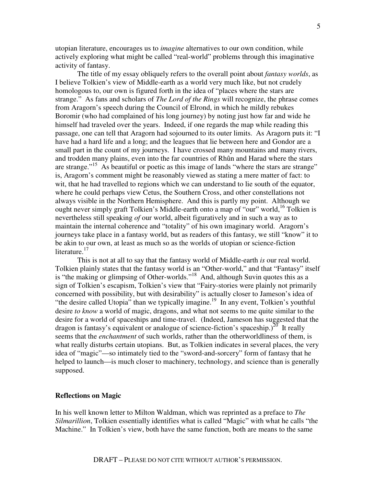utopian literature, encourages us to *imagine* alternatives to our own condition, while actively exploring what might be called "real-world" problems through this imaginative activity of fantasy.

 The title of my essay obliquely refers to the overall point about *fantasy worlds*, as I believe Tolkien's view of Middle-earth as a world very much like, but not crudely homologous to, our own is figured forth in the idea of "places where the stars are strange." As fans and scholars of *The Lord of the Rings* will recognize, the phrase comes from Aragorn's speech during the Council of Elrond, in which he mildly rebukes Boromir (who had complained of his long journey) by noting just how far and wide he himself had traveled over the years. Indeed, if one regards the map while reading this passage, one can tell that Aragorn had sojourned to its outer limits. As Aragorn puts it: "I have had a hard life and a long; and the leagues that lie between here and Gondor are a small part in the count of my journeys. I have crossed many mountains and many rivers, and trodden many plains, even into the far countries of Rhûn and Harad where the stars are strange."<sup>15</sup> As beautiful or poetic as this image of lands "where the stars are strange" is, Aragorn's comment might be reasonably viewed as stating a mere matter of fact: to wit, that he had travelled to regions which we can understand to lie south of the equator, where he could perhaps view Cetus, the Southern Cross, and other constellations not always visible in the Northern Hemisphere. And this is partly my point. Although we ought never simply graft Tolkien's Middle-earth onto a map of "our" world,<sup>16</sup> Tolkien is nevertheless still speaking *of* our world, albeit figuratively and in such a way as to maintain the internal coherence and "totality" of his own imaginary world. Aragorn's journeys take place in a fantasy world, but as readers of this fantasy, we still "know" it to be akin to our own, at least as much so as the worlds of utopian or science-fiction literature.<sup>17</sup>

 This is not at all to say that the fantasy world of Middle-earth *is* our real world. Tolkien plainly states that the fantasy world is an "Other-world," and that "Fantasy" itself is "the making or glimpsing of Other-worlds."<sup>18</sup> And, although Suvin quotes this as a sign of Tolkien's escapism, Tolkien's view that "Fairy-stories were plainly not primarily concerned with possibility, but with desirability" is actually closer to Jameson's idea of "the desire called Utopia" than we typically imagine.<sup>19</sup> In any event, Tolkien's youthful desire *to know* a world of magic, dragons, and what not seems to me quite similar to the desire for a world of spaceships and time-travel. (Indeed, Jameson has suggested that the dragon is fantasy's equivalent or analogue of science-fiction's spaceship.) $^{20}$  It really seems that the *enchantment* of such worlds, rather than the otherworldliness of them, is what really disturbs certain utopians. But, as Tolkien indicates in several places, the very idea of "magic"—so intimately tied to the "sword-and-sorcery" form of fantasy that he helped to launch—is much closer to machinery, technology, and science than is generally supposed.

## **Reflections on Magic**

In his well known letter to Milton Waldman, which was reprinted as a preface to *The Silmarillion*, Tolkien essentially identifies what is called "Magic" with what he calls "the Machine." In Tolkien's view, both have the same function, both are means to the same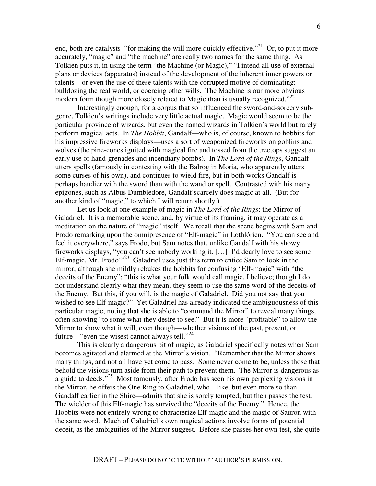end, both are catalysts "for making the will more quickly effective."<sup>21</sup> Or, to put it more accurately, "magic" and "the machine" are really two names for the same thing. As Tolkien puts it, in using the term "the Machine (or Magic)," "I intend all use of external plans or devices (apparatus) instead of the development of the inherent inner powers or talents—or even the use of these talents with the corrupted motive of dominating: bulldozing the real world, or coercing other wills. The Machine is our more obvious modern form though more closely related to Magic than is usually recognized."<sup>22</sup>

 Interestingly enough, for a corpus that so influenced the sword-and-sorcery subgenre, Tolkien's writings include very little actual magic. Magic would seem to be the particular province of wizards, but even the named wizards in Tolkien's world but rarely perform magical acts. In *The Hobbit*, Gandalf—who is, of course, known to hobbits for his impressive fireworks displays—uses a sort of weaponized fireworks on goblins and wolves (the pine-cones ignited with magical fire and tossed from the treetops suggest an early use of hand-grenades and incendiary bombs). In *The Lord of the Rings*, Gandalf utters spells (famously in contesting with the Balrog in Moria, who apparently utters some curses of his own), and continues to wield fire, but in both works Gandalf is perhaps handier with the sword than with the wand or spell. Contrasted with his many epigones, such as Albus Dumbledore, Gandalf scarcely does magic at all. (But for another kind of "magic," to which I will return shortly.)

 Let us look at one example of magic in *The Lord of the Rings*: the Mirror of Galadriel. It is a memorable scene, and, by virtue of its framing, it may operate as a meditation on the nature of "magic" itself. We recall that the scene begins with Sam and Frodo remarking upon the omnipresence of "Elf-magic" in Lothlórien. "You can see and feel it everywhere," says Frodo, but Sam notes that, unlike Gandalf with his showy fireworks displays, "you can't see nobody working it. […] I'd dearly love to see some Elf-magic, Mr. Frodo!"<sup>23</sup> Galadriel uses just this term to entice Sam to look in the mirror, although she mildly rebukes the hobbits for confusing "Elf-magic" with "the deceits of the Enemy": "this is what your folk would call magic, I believe; though I do not understand clearly what they mean; they seem to use the same word of the deceits of the Enemy. But this, if you will, is the magic of Galadriel. Did you not say that you wished to see Elf-magic?" Yet Galadriel has already indicated the ambiguousness of this particular magic, noting that she is able to "command the Mirror" to reveal many things, often showing "to some what they desire to see." But it is more "profitable" to allow the Mirror to show what it will, even though—whether visions of the past, present, or future—"even the wisest cannot always tell."<sup>24</sup>

 This is clearly a dangerous bit of magic, as Galadriel specifically notes when Sam becomes agitated and alarmed at the Mirror's vision. "Remember that the Mirror shows many things, and not all have yet come to pass. Some never come to be, unless those that behold the visions turn aside from their path to prevent them. The Mirror is dangerous as a guide to deeds."<sup>25</sup> Most famously, after Frodo has seen his own perplexing visions in the Mirror, he offers the One Ring to Galadriel, who—like, but even more so than Gandalf earlier in the Shire—admits that she is sorely tempted, but then passes the test. The wielder of this Elf-magic has survived the "deceits of the Enemy." Hence, the Hobbits were not entirely wrong to characterize Elf-magic and the magic of Sauron with the same word. Much of Galadriel's own magical actions involve forms of potential deceit, as the ambiguities of the Mirror suggest. Before she passes her own test, she quite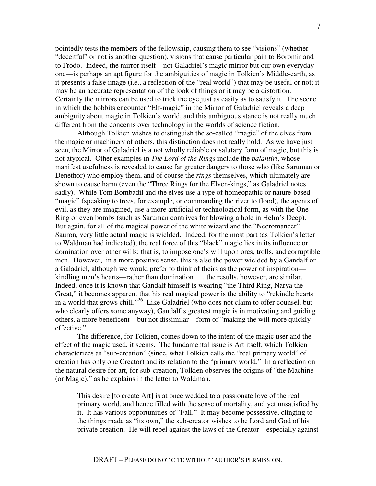pointedly tests the members of the fellowship, causing them to see "visions" (whether "deceitful" or not is another question), visions that cause particular pain to Boromir and to Frodo. Indeed, the mirror itself—not Galadriel's magic mirror but our own everyday one—is perhaps an apt figure for the ambiguities of magic in Tolkien's Middle-earth, as it presents a false image (i.e., a reflection of the "real world") that may be useful or not; it may be an accurate representation of the look of things or it may be a distortion. Certainly the mirrors can be used to trick the eye just as easily as to satisfy it. The scene in which the hobbits encounter "Elf-magic" in the Mirror of Galadriel reveals a deep ambiguity about magic in Tolkien's world, and this ambiguous stance is not really much different from the concerns over technology in the worlds of science fiction.

 Although Tolkien wishes to distinguish the so-called "magic" of the elves from the magic or machinery of others, this distinction does not really hold. As we have just seen, the Mirror of Galadriel is a not wholly reliable or salutary form of magic, but this is not atypical. Other examples in *The Lord of the Rings* include the *palantíri*, whose manifest usefulness is revealed to cause far greater dangers to those who (like Saruman or Denethor) who employ them, and of course the *rings* themselves, which ultimately are shown to cause harm (even the "Three Rings for the Elven-kings," as Galadriel notes sadly). While Tom Bombadil and the elves use a type of homeopathic or nature-based "magic" (speaking to trees, for example, or commanding the river to flood), the agents of evil, as they are imagined, use a more artificial or technological form, as with the One Ring or even bombs (such as Saruman contrives for blowing a hole in Helm's Deep). But again, for all of the magical power of the white wizard and the "Necromancer" Sauron, very little actual magic is wielded. Indeed, for the most part (as Tolkien's letter to Waldman had indicated), the real force of this "black" magic lies in its influence or domination over other wills; that is, to impose one's will upon orcs, trolls, and corruptible men. However, in a more positive sense, this is also the power wielded by a Gandalf or a Galadriel, although we would prefer to think of theirs as the power of inspiration kindling men's hearts—rather than domination . . . the results, however, are similar. Indeed, once it is known that Gandalf himself is wearing "the Third Ring, Narya the Great," it becomes apparent that his real magical power is the ability to "rekindle hearts in a world that grows chill."<sup>26</sup> Like Galadriel (who does not claim to offer counsel, but who clearly offers some anyway), Gandalf's greatest magic is in motivating and guiding others, a more beneficent—but not dissimilar—form of "making the will more quickly effective."

 The difference, for Tolkien, comes down to the intent of the magic user and the effect of the magic used, it seems. The fundamental issue is Art itself, which Tolkien characterizes as "sub-creation" (since, what Tolkien calls the "real primary world" of creation has only one Creator) and its relation to the "primary world." In a reflection on the natural desire for art, for sub-creation, Tolkien observes the origins of "the Machine (or Magic)," as he explains in the letter to Waldman.

This desire [to create Art] is at once wedded to a passionate love of the real primary world, and hence filled with the sense of mortality, and yet unsatisfied by it. It has various opportunities of "Fall." It may become possessive, clinging to the things made as "its own," the sub-creator wishes to be Lord and God of his private creation. He will rebel against the laws of the Creator—especially against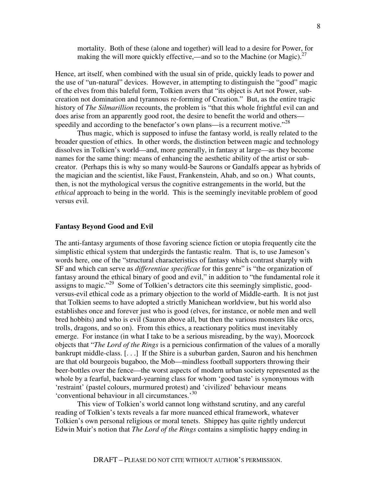mortality. Both of these (alone and together) will lead to a desire for Power, for making the will more quickly effective,—and so to the Machine (or Magic).<sup>27</sup>

Hence, art itself, when combined with the usual sin of pride, quickly leads to power and the use of "un-natural" devices. However, in attempting to distinguish the "good" magic of the elves from this baleful form, Tolkien avers that "its object is Art not Power, subcreation not domination and tyrannous re-forming of Creation." But, as the entire tragic history of *The Silmarillion* recounts, the problem is "that this whole frightful evil can and does arise from an apparently good root, the desire to benefit the world and others speedily and according to the benefactor's own plans—is a recurrent motive."<sup>28</sup>

 Thus magic, which is supposed to infuse the fantasy world, is really related to the broader question of ethics. In other words, the distinction between magic and technology dissolves in Tolkien's world—and, more generally, in fantasy at large—as they become names for the same thing: means of enhancing the aesthetic ability of the artist or subcreator. (Perhaps this is why so many would-be Saurons or Gandalfs appear as hybrids of the magician and the scientist, like Faust, Frankenstein, Ahab, and so on.) What counts, then, is not the mythological versus the cognitive estrangements in the world, but the *ethical* approach to being in the world. This is the seemingly inevitable problem of good versus evil.

#### **Fantasy Beyond Good and Evil**

The anti-fantasy arguments of those favoring science fiction or utopia frequently cite the simplistic ethical system that undergirds the fantastic realm. That is, to use Jameson's words here, one of the "structural characteristics of fantasy which contrast sharply with SF and which can serve as *differentiae specificae* for this genre" is "the organization of fantasy around the ethical binary of good and evil," in addition to "the fundamental role it assigns to magic."<sup>29</sup> Some of Tolkien's detractors cite this seemingly simplistic, goodversus-evil ethical code as a primary objection to the world of Middle-earth. It is not just that Tolkien seems to have adopted a strictly Manichean worldview, but his world also establishes once and forever just who is good (elves, for instance, or noble men and well bred hobbits) and who is evil (Sauron above all, but then the various monsters like orcs, trolls, dragons, and so on). From this ethics, a reactionary politics must inevitably emerge. For instance (in what I take to be a serious misreading, by the way), Moorcock objects that "*The Lord of the Rings* is a pernicious confirmation of the values of a morally bankrupt middle-class. [. . .] If the Shire is a suburban garden, Sauron and his henchmen are that old bourgeois bugaboo, the Mob—mindless football supporters throwing their beer-bottles over the fence—the worst aspects of modern urban society represented as the whole by a fearful, backward-yearning class for whom 'good taste' is synonymous with 'restraint' (pastel colours, murmured protest) and 'civilized' behaviour means 'conventional behaviour in all circumstances.'<sup>30</sup>

 This view of Tolkien's world cannot long withstand scrutiny, and any careful reading of Tolkien's texts reveals a far more nuanced ethical framework, whatever Tolkien's own personal religious or moral tenets. Shippey has quite rightly undercut Edwin Muir's notion that *The Lord of the Rings* contains a simplistic happy ending in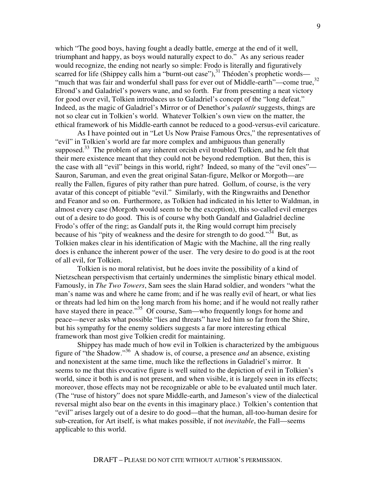which "The good boys, having fought a deadly battle, emerge at the end of it well, triumphant and happy, as boys would naturally expect to do." As any serious reader would recognize, the ending not nearly so simple: Frodo is literally and figuratively scarred for life (Shippey calls him a "burnt-out case"),<sup>31</sup> Théoden's prophetic words— "much that was fair and wonderful shall pass for ever out of Middle-earth"—come true,<sup>32</sup> Elrond's and Galadriel's powers wane, and so forth. Far from presenting a neat victory for good over evil, Tolkien introduces us to Galadriel's concept of the "long defeat." Indeed, as the magic of Galadriel's Mirror or of Denethor's *palantír* suggests, things are not so clear cut in Tolkien's world. Whatever Tolkien's own view on the matter, the ethical framework of his Middle-earth cannot be reduced to a good-versus-evil caricature.

 As I have pointed out in "Let Us Now Praise Famous Orcs," the representatives of "evil" in Tolkien's world are far more complex and ambiguous than generally supposed.<sup>33</sup> The problem of any inherent orcish evil troubled Tolkien, and he felt that their mere existence meant that they could not be beyond redemption. But then, this is the case with all "evil" beings in this world, right? Indeed, so many of the "evil ones"— Sauron, Saruman, and even the great original Satan-figure, Melkor or Morgoth—are really the Fallen, figures of pity rather than pure hatred. Gollum, of course, is the very avatar of this concept of pitiable "evil." Similarly, with the Ringwraiths and Denethor and Feanor and so on. Furthermore, as Tolkien had indicated in his letter to Waldman, in almost every case (Morgoth would seem to be the exception), this so-called evil emerges out of a desire to do good. This is of course why both Gandalf and Galadriel decline Frodo's offer of the ring; as Gandalf puts it, the Ring would corrupt him precisely because of his "pity of weakness and the desire for strength to do good."<sup>34</sup> But, as Tolkien makes clear in his identification of Magic with the Machine, all the ring really does is enhance the inherent power of the user. The very desire to do good is at the root of all evil, for Tolkien.

 Tolkien is no moral relativist, but he does invite the possibility of a kind of Nietzschean perspectivism that certainly undermines the simplistic binary ethical model. Famously, in *The Two Towers*, Sam sees the slain Harad soldier, and wonders "what the man's name was and where he came from; and if he was really evil of heart, or what lies or threats had led him on the long march from his home; and if he would not really rather have stayed there in peace."<sup>35</sup> Of course, Sam—who frequently longs for home and peace—never asks what possible "lies and threats" have led him so far from the Shire, but his sympathy for the enemy soldiers suggests a far more interesting ethical framework than most give Tolkien credit for maintaining.

 Shippey has made much of how evil in Tolkien is characterized by the ambiguous figure of "the Shadow."<sup>36</sup> A shadow is, of course, a presence *and* an absence, existing and nonexistent at the same time, much like the reflections in Galadriel's mirror. It seems to me that this evocative figure is well suited to the depiction of evil in Tolkien's world, since it both is and is not present, and when visible, it is largely seen in its effects; moreover, those effects may not be recognizable or able to be evaluated until much later. (The "ruse of history" does not spare Middle-earth, and Jameson's view of the dialectical reversal might also bear on the events in this imaginary place.) Tolkien's contention that "evil" arises largely out of a desire to do good—that the human, all-too-human desire for sub-creation, for Art itself, is what makes possible, if not *inevitable*, the Fall—seems applicable to this world.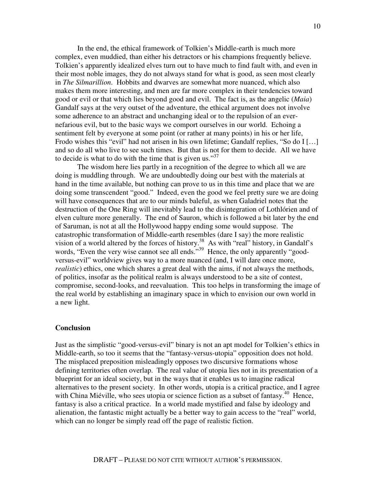In the end, the ethical framework of Tolkien's Middle-earth is much more complex, even muddied, than either his detractors or his champions frequently believe. Tolkien's apparently idealized elves turn out to have much to find fault with, and even in their most noble images, they do not always stand for what is good, as seen most clearly in *The Silmarillion*. Hobbits and dwarves are somewhat more nuanced, which also makes them more interesting, and men are far more complex in their tendencies toward good or evil or that which lies beyond good and evil. The fact is, as the angelic (*Maia*) Gandalf says at the very outset of the adventure, the ethical argument does not involve some adherence to an abstract and unchanging ideal or to the repulsion of an evernefarious evil, but to the basic ways we comport ourselves in our world. Echoing a sentiment felt by everyone at some point (or rather at many points) in his or her life, Frodo wishes this "evil" had not arisen in his own lifetime; Gandalf replies, "So do I [...] and so do all who live to see such times. But that is not for them to decide. All we have to decide is what to do with the time that is given us."<sup>37</sup>

 The wisdom here lies partly in a recognition of the degree to which all we are doing is muddling through. We are undoubtedly doing our best with the materials at hand in the time available, but nothing can prove to us in this time and place that we are doing some transcendent "good." Indeed, even the good we feel pretty sure we are doing will have consequences that are to our minds baleful, as when Galadriel notes that the destruction of the One Ring will inevitably lead to the disintegration of Lothlórien and of elven culture more generally. The end of Sauron, which is followed a bit later by the end of Saruman, is not at all the Hollywood happy ending some would suppose. The catastrophic transformation of Middle-earth resembles (dare I say) the more realistic vision of a world altered by the forces of history.<sup>38</sup> As with "real" history, in Gandalf's words, "Even the very wise cannot see all ends."<sup>39</sup> Hence, the only apparently "goodversus-evil" worldview gives way to a more nuanced (and, I will dare once more, *realistic*) ethics, one which shares a great deal with the aims, if not always the methods, of politics, insofar as the political realm is always understood to be a site of contest, compromise, second-looks, and reevaluation. This too helps in transforming the image of the real world by establishing an imaginary space in which to envision our own world in a new light.

## **Conclusion**

Just as the simplistic "good-versus-evil" binary is not an apt model for Tolkien's ethics in Middle-earth, so too it seems that the "fantasy-versus-utopia" opposition does not hold. The misplaced preposition misleadingly opposes two discursive formations whose defining territories often overlap. The real value of utopia lies not in its presentation of a blueprint for an ideal society, but in the ways that it enables us to imagine radical alternatives to the present society. In other words, utopia is a critical practice, and I agree with China Miéville, who sees utopia or science fiction as a subset of fantasy.<sup>40</sup> Hence, fantasy is also a critical practice. In a world made mystified and false by ideology and alienation, the fantastic might actually be a better way to gain access to the "real" world, which can no longer be simply read off the page of realistic fiction.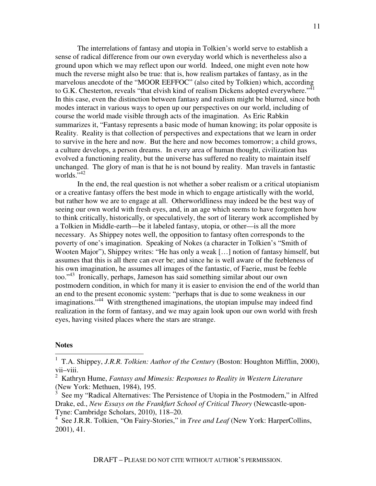The interrelations of fantasy and utopia in Tolkien's world serve to establish a sense of radical difference from our own everyday world which is nevertheless also a ground upon which we may reflect upon our world. Indeed, one might even note how much the reverse might also be true: that is, how realism partakes of fantasy, as in the marvelous anecdote of the "MOOR EEFFOC" (also cited by Tolkien) which, according to G.K. Chesterton, reveals "that elvish kind of realism Dickens adopted everywhere." $41$ In this case, even the distinction between fantasy and realism might be blurred, since both modes interact in various ways to open up our perspectives on our world, including of course the world made visible through acts of the imagination. As Eric Rabkin summarizes it, "Fantasy represents a basic mode of human knowing; its polar opposite is Reality. Reality is that collection of perspectives and expectations that we learn in order to survive in the here and now. But the here and now becomes tomorrow; a child grows, a culture develops, a person dreams. In every area of human thought, civilization has evolved a functioning reality, but the universe has suffered no reality to maintain itself unchanged. The glory of man is that he is not bound by reality. Man travels in fantastic worlds. $\frac{1}{2}$ 

 In the end, the real question is not whether a sober realism or a critical utopianism or a creative fantasy offers the best mode in which to engage artistically with the world, but rather how we are to engage at all. Otherworldliness may indeed be the best way of seeing our own world with fresh eyes, and, in an age which seems to have forgotten how to think critically, historically, or speculatively, the sort of literary work accomplished by a Tolkien in Middle-earth—be it labeled fantasy, utopia, or other—is all the more necessary. As Shippey notes well, the opposition to fantasy often corresponds to the poverty of one's imagination. Speaking of Nokes (a character in Tolkien's "Smith of Wooten Major"), Shippey writes: "He has only a weak […] notion of fantasy himself, but assumes that this is all there can ever be; and since he is well aware of the feebleness of his own imagination, he assumes all images of the fantastic, of Faerie, must be feeble too."<sup>43</sup> Ironically, perhaps, Jameson has said something similar about our own postmodern condition, in which for many it is easier to envision the end of the world than an end to the present economic system: "perhaps that is due to some weakness in our imaginations.<sup>744</sup> With strengthened imaginations, the utopian impulse may indeed find realization in the form of fantasy, and we may again look upon our own world with fresh eyes, having visited places where the stars are strange.

#### **Notes** l

<sup>&</sup>lt;sup>1</sup> T.A. Shippey, *J.R.R. Tolkien: Author of the Century* (Boston: Houghton Mifflin, 2000), vii–viii.

<sup>2</sup> Kathryn Hume, *Fantasy and Mimesis: Responses to Reality in Western Literature* (New York: Methuen, 1984), 195.

<sup>3</sup> See my "Radical Alternatives: The Persistence of Utopia in the Postmodern," in Alfred Drake, ed., *New Essays on the Frankfurt School of Critical Theory* (Newcastle-upon-Tyne: Cambridge Scholars, 2010), 118–20.

<sup>&</sup>lt;sup>4</sup> See J.R.R. Tolkien, "On Fairy-Stories," in *Tree and Leaf* (New York: HarperCollins, 2001), 41.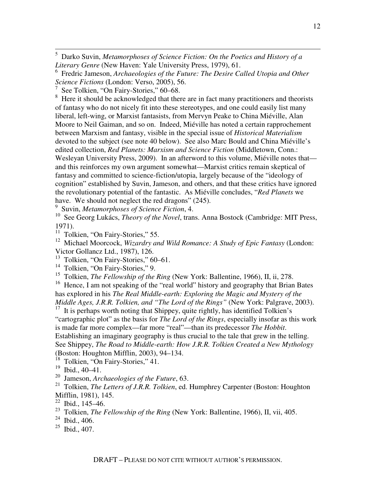5 Darko Suvin, *Metamorphoses of Science Fiction: On the Poetics and History of a Literary Genre* (New Haven: Yale University Press, 1979), 61.

<sup>6</sup> Fredric Jameson, *Archaeologies of the Future: The Desire Called Utopia and Other Science Fictions* (London: Verso, 2005), 56.

7 See Tolkien, "On Fairy-Stories," 60–68.

 $\overline{a}$ 

<sup>8</sup> Here it should be acknowledged that there are in fact many practitioners and theorists of fantasy who do not nicely fit into these stereotypes, and one could easily list many liberal, left-wing, or Marxist fantasists, from Mervyn Peake to China Miéville, Alan Moore to Neil Gaiman, and so on. Indeed, Miéville has noted a certain rapprochement between Marxism and fantasy, visible in the special issue of *Historical Materialism* devoted to the subject (see note 40 below). See also Marc Bould and China Miéville's edited collection, *Red Planets: Marxism and Science Fiction* (Middletown, Conn.: Wesleyan University Press, 2009). In an afterword to this volume, Miéville notes that and this reinforces my own argument somewhat—Marxist critics remain skeptical of fantasy and committed to science-fiction/utopia, largely because of the "ideology of cognition" established by Suvin, Jameson, and others, and that these critics have ignored the revolutionary potential of the fantastic. As Miéville concludes, "*Red Planets* we have. We should not neglect the red dragons" (245).

9 Suvin, *Metamorphoses of Science Fiction*, 4.

<sup>10</sup> See Georg Lukács, *Theory of the Novel*, trans. Anna Bostock (Cambridge: MIT Press, 1971).

 $11$  Tolkien, "On Fairy-Stories," 55.

<sup>12</sup> Michael Moorcock, *Wizardry and Wild Romance: A Study of Epic Fantasy* (London: Victor Gollancz Ltd., 1987), 126.

<sup>13</sup> Tolkien, "On Fairy-Stories," 60–61.

<sup>14</sup> Tolkien, "On Fairy-Stories," 9.

<sup>15</sup> Tolkien, *The Fellowship of the Ring* (New York: Ballentine, 1966), II, ii, 278.

<sup>16</sup> Hence, I am not speaking of the "real world" history and geography that Brian Bates has explored in his *The Real Middle-earth: Exploring the Magic and Mystery of the Middle Ages, J.R.R. Tolkien, and "The Lord of the Rings"* (New York: Palgrave, 2003).

 $17$  It is perhaps worth noting that Shippey, quite rightly, has identified Tolkien's "cartographic plot" as the basis for *The Lord of the Rings*, especially insofar as this work is made far more complex—far more "real"—than its predecessor *The Hobbit*. Establishing an imaginary geography is thus crucial to the tale that grew in the telling. See Shippey, *The Road to Middle-earth: How J.R.R. Tolkien Created a New Mythology* (Boston: Houghton Mifflin, 2003), 94–134.

<sup>18</sup> Tolkien, "On Fairy-Stories," 41.

- <sup>20</sup> Jameson, *Archaeologies of the Future*, 63.
- <sup>21</sup> Tolkien, *The Letters of J.R.R. Tolkien*, ed. Humphrey Carpenter (Boston: Houghton Mifflin, 1981), 145.

- <sup>23</sup> Tolkien, *The Fellowship of the Ring* (New York: Ballentine, 1966), II, vii, 405.
- $24$  Ibid., 406.

<sup>19</sup> Ibid., 40–41.

 $22$  Ibid., 145–46.

 $^{25}$  Ibid., 407.